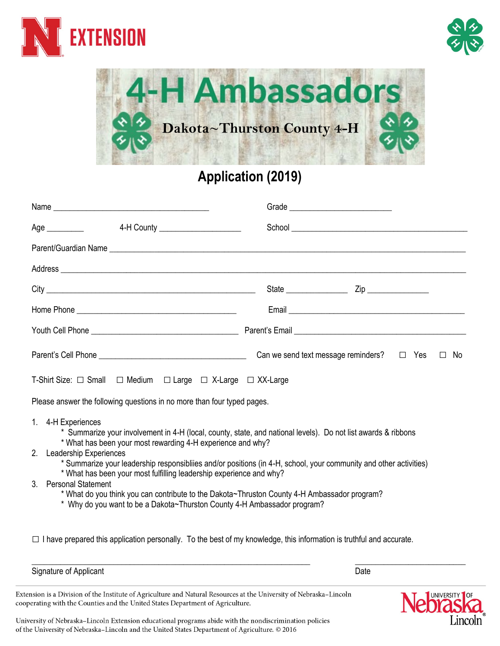





## **Application (2019)**

| 4-H County _____________________<br>Age $\_\_\_\_\_\_\_\_\_\_\_$                                                                                                                                                                                                                                                                                                                                                                                                                                                                                                                                                                            |                                                              |
|---------------------------------------------------------------------------------------------------------------------------------------------------------------------------------------------------------------------------------------------------------------------------------------------------------------------------------------------------------------------------------------------------------------------------------------------------------------------------------------------------------------------------------------------------------------------------------------------------------------------------------------------|--------------------------------------------------------------|
|                                                                                                                                                                                                                                                                                                                                                                                                                                                                                                                                                                                                                                             |                                                              |
|                                                                                                                                                                                                                                                                                                                                                                                                                                                                                                                                                                                                                                             |                                                              |
|                                                                                                                                                                                                                                                                                                                                                                                                                                                                                                                                                                                                                                             |                                                              |
|                                                                                                                                                                                                                                                                                                                                                                                                                                                                                                                                                                                                                                             |                                                              |
|                                                                                                                                                                                                                                                                                                                                                                                                                                                                                                                                                                                                                                             |                                                              |
|                                                                                                                                                                                                                                                                                                                                                                                                                                                                                                                                                                                                                                             | Can we send text message reminders? $\Box$ Yes $\Box$<br>No. |
| T-Shirt Size: $\Box$ Small $\Box$ Medium $\Box$ Large $\Box$ X-Large $\Box$ XX-Large                                                                                                                                                                                                                                                                                                                                                                                                                                                                                                                                                        |                                                              |
| Please answer the following questions in no more than four typed pages.                                                                                                                                                                                                                                                                                                                                                                                                                                                                                                                                                                     |                                                              |
| 1. 4-H Experiences<br>* Summarize your involvement in 4-H (local, county, state, and national levels). Do not list awards & ribbons<br>* What has been your most rewarding 4-H experience and why?<br>Leadership Experiences<br>2<br>* Summarize your leadership responsibliies and/or positions (in 4-H, school, your community and other activities)<br>* What has been your most fulfilling leadership experience and why?<br><b>Personal Statement</b><br>3<br>* What do you think you can contribute to the Dakota~Thruston County 4-H Ambassador program?<br>* Why do you want to be a Dakota~Thurston County 4-H Ambassador program? |                                                              |

 $\Box$  I have prepared this application personally. To the best of my knowledge, this information is truthful and accurate.

\_\_\_\_\_\_\_\_\_\_\_\_\_\_\_\_\_\_\_\_\_\_\_\_\_\_\_\_\_\_\_\_\_\_\_\_\_\_\_\_\_\_\_\_\_\_\_\_\_\_\_\_\_\_\_\_\_\_\_\_\_\_\_\_\_\_\_\_ \_\_\_\_\_\_\_\_\_\_\_\_\_\_\_\_\_\_\_\_\_\_\_\_\_\_\_

Signature of Applicant Date Controller Controller Controller Controller Controller Controller Controller Controller

Extension is a Division of the Institute of Agriculture and Natural Resources at the University of Nebraska-Lincoln cooperating with the Counties and the United States Department of Agriculture.



University of Nebraska-Lincoln Extension educational programs abide with the nondiscrimination policies of the University of Nebraska-Lincoln and the United States Department of Agriculture. @ 2016